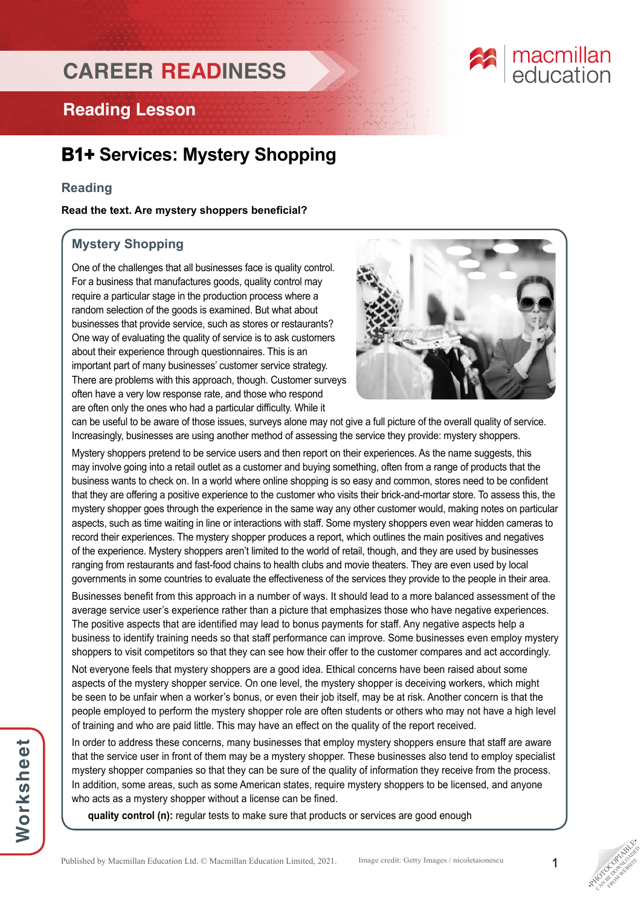## **CAREER READINESS**

# **E** macmillan

### **Reading Lesson**

### **B1+ Services: Mystery Shopping**

### **Reading**

**Read the text. Are mystery shoppers beneficial?**

### **Mystery Shopping**

One of the challenges that all businesses face is quality control. For a business that manufactures goods, quality control may require a particular stage in the production process where a random selection of the goods is examined. But what about businesses that provide service, such as stores or restaurants? One way of evaluating the quality of service is to ask customers about their experience through questionnaires. This is an important part of many businesses' customer service strategy. There are problems with this approach, though. Customer surveys often have a very low response rate, and those who respond are often only the ones who had a particular difficulty. While it



can be useful to be aware of those issues, surveys alone may not give a full picture of the overall quality of service. Increasingly, businesses are using another method of assessing the service they provide: mystery shoppers.

Mystery shoppers pretend to be service users and then report on their experiences. As the name suggests, this may involve going into a retail outlet as a customer and buying something, often from a range of products that the business wants to check on. In a world where online shopping is so easy and common, stores need to be confident that they are offering a positive experience to the customer who visits their brick-and-mortar store. To assess this, the mystery shopper goes through the experience in the same way any other customer would, making notes on particular aspects, such as time waiting in line or interactions with staff. Some mystery shoppers even wear hidden cameras to record their experiences. The mystery shopper produces a report, which outlines the main positives and negatives of the experience. Mystery shoppers aren't limited to the world of retail, though, and they are used by businesses ranging from restaurants and fast-food chains to health clubs and movie theaters. They are even used by local governments in some countries to evaluate the effectiveness of the services they provide to the people in their area.

Businesses benefit from this approach in a number of ways. It should lead to a more balanced assessment of the average service user's experience rather than a picture that emphasizes those who have negative experiences. The positive aspects that are identified may lead to bonus payments for staff. Any negative aspects help a business to identify training needs so that staff performance can improve. Some businesses even employ mystery shoppers to visit competitors so that they can see how their offer to the customer compares and act accordingly.

Not everyone feels that mystery shoppers are a good idea. Ethical concerns have been raised about some aspects of the mystery shopper service. On one level, the mystery shopper is deceiving workers, which might be seen to be unfair when a worker's bonus, or even their job itself, may be at risk. Another concern is that the people employed to perform the mystery shopper role are often students or others who may not have a high level of training and who are paid little. This may have an effect on the quality of the report received.

In order to address these concerns, many businesses that employ mystery shoppers ensure that staff are aware that the service user in front of them may be a mystery shopper. These businesses also tend to employ specialist mystery shopper companies so that they can be sure of the quality of information they receive from the process. In addition, some areas, such as some American states, require mystery shoppers to be licensed, and anyone who acts as a mystery shopper without a license can be fined.

**quality control (n):** regular tests to make sure that products or services are good enough



**PHOTOGRAPHICATE** CAN BE DOWNLOAD FROM WEBSITE